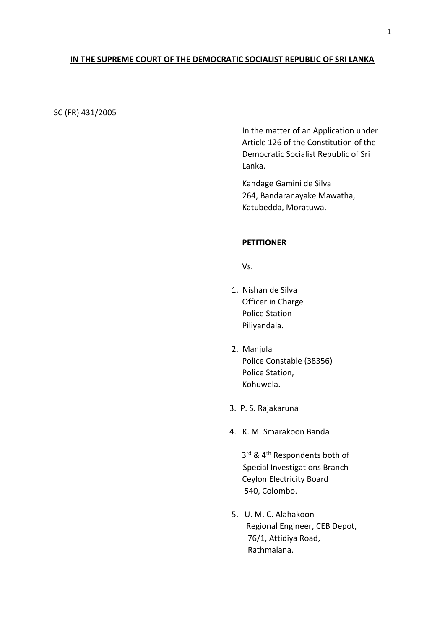### **IN THE SUPREME COURT OF THE DEMOCRATIC SOCIALIST REPUBLIC OF SRI LANKA**

SC (FR) 431/2005

In the matter of an Application under Article 126 of the Constitution of the Democratic Socialist Republic of Sri Lanka.

Kandage Gamini de Silva 264, Bandaranayake Mawatha, Katubedda, Moratuwa.

### **PETITIONER**

Vs.

- 1. Nishan de Silva Officer in Charge Police Station Piliyandala.
- 2. Manjula Police Constable (38356) Police Station, Kohuwela.
- 3. P. S. Rajakaruna
- 4. K. M. Smarakoon Banda

3<sup>rd</sup> & 4<sup>th</sup> Respondents both of Special Investigations Branch Ceylon Electricity Board 540, Colombo.

> 5. U. M. C. Alahakoon Regional Engineer, CEB Depot, 76/1, Attidiya Road, Rathmalana.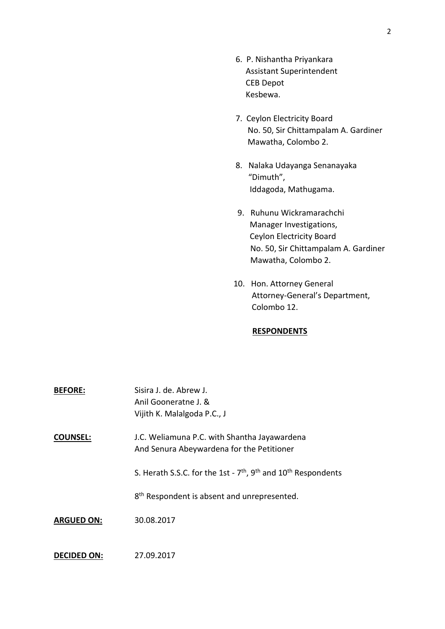- 6. P. Nishantha Priyankara Assistant Superintendent CEB Depot Kesbewa.
- 7. Ceylon Electricity Board No. 50, Sir Chittampalam A. Gardiner Mawatha, Colombo 2.
- 8. Nalaka Udayanga Senanayaka "Dimuth", Iddagoda, Mathugama.
- 9. Ruhunu Wickramarachchi Manager Investigations, Ceylon Electricity Board No. 50, Sir Chittampalam A. Gardiner Mawatha, Colombo 2.
- 10. Hon. Attorney General Attorney-General's Department, Colombo 12.

## **RESPONDENTS**

| <b>BEFORE:</b>     | Sisira J. de. Abrew J.<br>Anil Gooneratne J. &<br>Vijith K. Malalgoda P.C., J                     |
|--------------------|---------------------------------------------------------------------------------------------------|
| <b>COUNSEL:</b>    | J.C. Weliamuna P.C. with Shantha Jayawardena<br>And Senura Abeywardena for the Petitioner         |
|                    | S. Herath S.S.C. for the 1st - 7 <sup>th</sup> , 9 <sup>th</sup> and 10 <sup>th</sup> Respondents |
|                    | 8 <sup>th</sup> Respondent is absent and unrepresented.                                           |
| <b>ARGUED ON:</b>  | 30.08.2017                                                                                        |
| <b>DECIDED ON:</b> | 27.09.2017                                                                                        |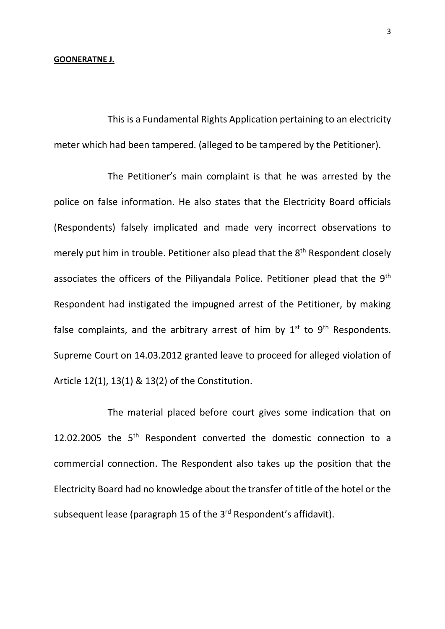#### **GOONERATNE J.**

This is a Fundamental Rights Application pertaining to an electricity meter which had been tampered. (alleged to be tampered by the Petitioner).

The Petitioner's main complaint is that he was arrested by the police on false information. He also states that the Electricity Board officials (Respondents) falsely implicated and made very incorrect observations to merely put him in trouble. Petitioner also plead that the 8<sup>th</sup> Respondent closely associates the officers of the Piliyandala Police. Petitioner plead that the 9<sup>th</sup> Respondent had instigated the impugned arrest of the Petitioner, by making false complaints, and the arbitrary arrest of him by  $1<sup>st</sup>$  to  $9<sup>th</sup>$  Respondents. Supreme Court on 14.03.2012 granted leave to proceed for alleged violation of Article 12(1), 13(1) & 13(2) of the Constitution.

The material placed before court gives some indication that on 12.02.2005 the  $5<sup>th</sup>$  Respondent converted the domestic connection to a commercial connection. The Respondent also takes up the position that the Electricity Board had no knowledge about the transfer of title of the hotel or the subsequent lease (paragraph 15 of the 3<sup>rd</sup> Respondent's affidavit).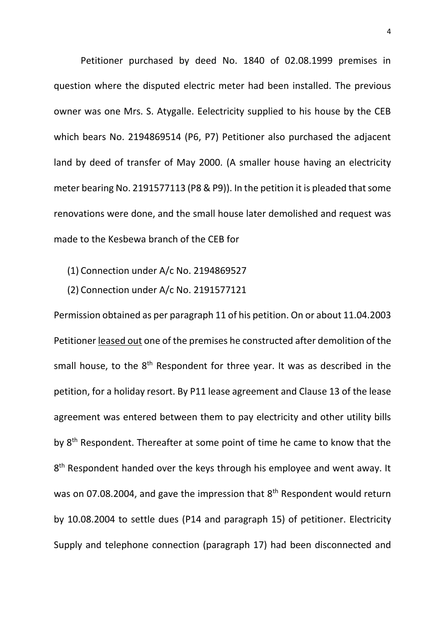Petitioner purchased by deed No. 1840 of 02.08.1999 premises in question where the disputed electric meter had been installed. The previous owner was one Mrs. S. Atygalle. Eelectricity supplied to his house by the CEB which bears No. 2194869514 (P6, P7) Petitioner also purchased the adjacent land by deed of transfer of May 2000. (A smaller house having an electricity meter bearing No. 2191577113 (P8 & P9)). In the petition it is pleaded that some renovations were done, and the small house later demolished and request was made to the Kesbewa branch of the CEB for

- (1) Connection under A/c No. 2194869527
- (2) Connection under A/c No. 2191577121

Permission obtained as per paragraph 11 of his petition. On or about 11.04.2003 Petitioner leased out one of the premises he constructed after demolition of the small house, to the 8<sup>th</sup> Respondent for three year. It was as described in the petition, for a holiday resort. By P11 lease agreement and Clause 13 of the lease agreement was entered between them to pay electricity and other utility bills by 8<sup>th</sup> Respondent. Thereafter at some point of time he came to know that the 8<sup>th</sup> Respondent handed over the keys through his employee and went away. It was on 07.08.2004, and gave the impression that 8<sup>th</sup> Respondent would return by 10.08.2004 to settle dues (P14 and paragraph 15) of petitioner. Electricity Supply and telephone connection (paragraph 17) had been disconnected and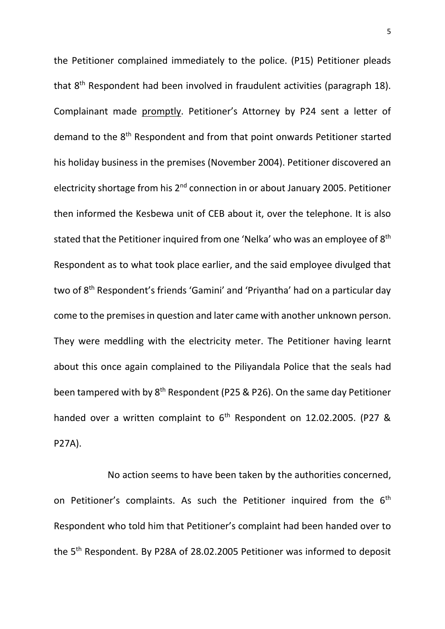the Petitioner complained immediately to the police. (P15) Petitioner pleads that 8th Respondent had been involved in fraudulent activities (paragraph 18). Complainant made promptly. Petitioner's Attorney by P24 sent a letter of demand to the 8th Respondent and from that point onwards Petitioner started his holiday business in the premises (November 2004). Petitioner discovered an electricity shortage from his 2<sup>nd</sup> connection in or about January 2005. Petitioner then informed the Kesbewa unit of CEB about it, over the telephone. It is also stated that the Petitioner inquired from one 'Nelka' who was an employee of 8<sup>th</sup> Respondent as to what took place earlier, and the said employee divulged that two of 8<sup>th</sup> Respondent's friends 'Gamini' and 'Priyantha' had on a particular day come to the premises in question and later came with another unknown person. They were meddling with the electricity meter. The Petitioner having learnt about this once again complained to the Piliyandala Police that the seals had been tampered with by 8<sup>th</sup> Respondent (P25 & P26). On the same day Petitioner handed over a written complaint to  $6<sup>th</sup>$  Respondent on 12.02.2005. (P27 & P27A).

No action seems to have been taken by the authorities concerned, on Petitioner's complaints. As such the Petitioner inquired from the  $6<sup>th</sup>$ Respondent who told him that Petitioner's complaint had been handed over to the 5th Respondent. By P28A of 28.02.2005 Petitioner was informed to deposit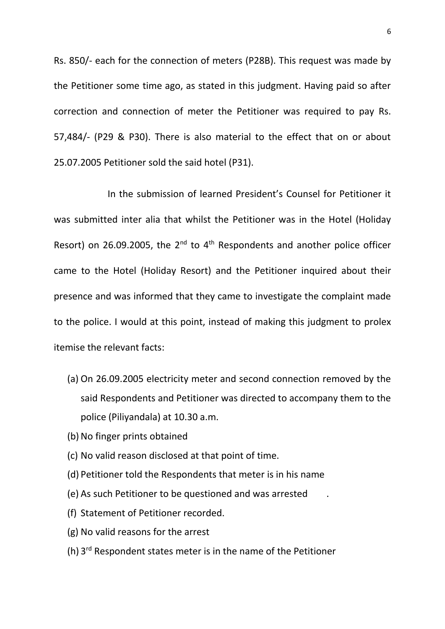Rs. 850/- each for the connection of meters (P28B). This request was made by the Petitioner some time ago, as stated in this judgment. Having paid so after correction and connection of meter the Petitioner was required to pay Rs. 57,484/- (P29 & P30). There is also material to the effect that on or about 25.07.2005 Petitioner sold the said hotel (P31).

In the submission of learned President's Counsel for Petitioner it was submitted inter alia that whilst the Petitioner was in the Hotel (Holiday Resort) on 26.09.2005, the  $2^{nd}$  to  $4^{th}$  Respondents and another police officer came to the Hotel (Holiday Resort) and the Petitioner inquired about their presence and was informed that they came to investigate the complaint made to the police. I would at this point, instead of making this judgment to prolex itemise the relevant facts:

- (a) On 26.09.2005 electricity meter and second connection removed by the said Respondents and Petitioner was directed to accompany them to the police (Piliyandala) at 10.30 a.m.
- (b) No finger prints obtained
- (c) No valid reason disclosed at that point of time.
- (d) Petitioner told the Respondents that meter is in his name
- (e) As such Petitioner to be questioned and was arrested .
- (f) Statement of Petitioner recorded.
- (g) No valid reasons for the arrest
- (h) 3<sup>rd</sup> Respondent states meter is in the name of the Petitioner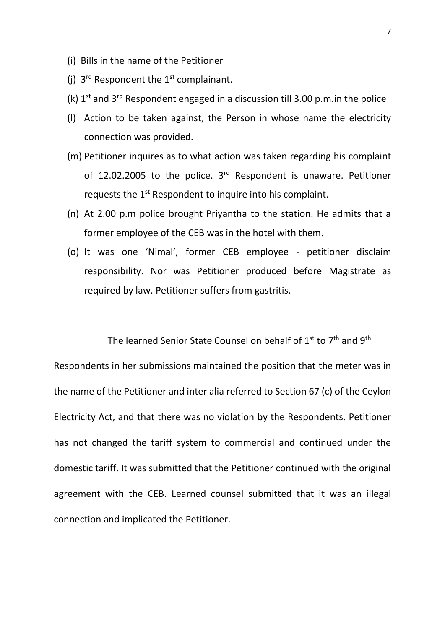- (i) Bills in the name of the Petitioner
- (j)  $3^{rd}$  Respondent the  $1^{st}$  complainant.
- (k)  $1<sup>st</sup>$  and  $3<sup>rd</sup>$  Respondent engaged in a discussion till 3.00 p.m.in the police
- (l) Action to be taken against, the Person in whose name the electricity connection was provided.
- (m) Petitioner inquires as to what action was taken regarding his complaint of 12.02.2005 to the police.  $3<sup>rd</sup>$  Respondent is unaware. Petitioner requests the 1<sup>st</sup> Respondent to inquire into his complaint.
- (n) At 2.00 p.m police brought Priyantha to the station. He admits that a former employee of the CEB was in the hotel with them.
- (o) It was one 'Nimal', former CEB employee petitioner disclaim responsibility. Nor was Petitioner produced before Magistrate as required by law. Petitioner suffers from gastritis.

The learned Senior State Counsel on behalf of 1<sup>st</sup> to 7<sup>th</sup> and 9<sup>th</sup>

Respondents in her submissions maintained the position that the meter was in the name of the Petitioner and inter alia referred to Section 67 (c) of the Ceylon Electricity Act, and that there was no violation by the Respondents. Petitioner has not changed the tariff system to commercial and continued under the domestic tariff. It was submitted that the Petitioner continued with the original agreement with the CEB. Learned counsel submitted that it was an illegal connection and implicated the Petitioner.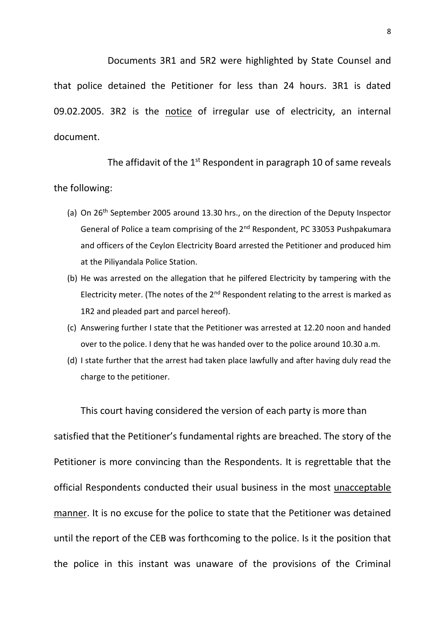Documents 3R1 and 5R2 were highlighted by State Counsel and that police detained the Petitioner for less than 24 hours. 3R1 is dated 09.02.2005. 3R2 is the notice of irregular use of electricity, an internal document.

The affidavit of the 1<sup>st</sup> Respondent in paragraph 10 of same reveals

# the following:

- (a) On  $26<sup>th</sup>$  September 2005 around 13.30 hrs., on the direction of the Deputy Inspector General of Police a team comprising of the 2<sup>nd</sup> Respondent, PC 33053 Pushpakumara and officers of the Ceylon Electricity Board arrested the Petitioner and produced him at the Piliyandala Police Station.
- (b) He was arrested on the allegation that he pilfered Electricity by tampering with the Electricity meter. (The notes of the  $2<sup>nd</sup>$  Respondent relating to the arrest is marked as 1R2 and pleaded part and parcel hereof).
- (c) Answering further I state that the Petitioner was arrested at 12.20 noon and handed over to the police. I deny that he was handed over to the police around 10.30 a.m.
- (d) I state further that the arrest had taken place lawfully and after having duly read the charge to the petitioner.

This court having considered the version of each party is more than satisfied that the Petitioner's fundamental rights are breached. The story of the Petitioner is more convincing than the Respondents. It is regrettable that the official Respondents conducted their usual business in the most unacceptable manner. It is no excuse for the police to state that the Petitioner was detained until the report of the CEB was forthcoming to the police. Is it the position that the police in this instant was unaware of the provisions of the Criminal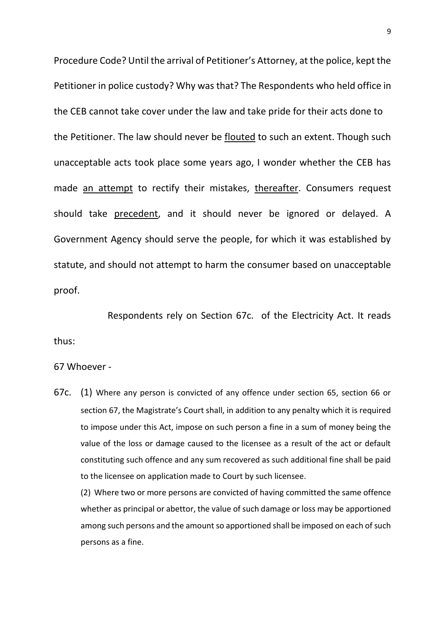Procedure Code? Until the arrival of Petitioner's Attorney, at the police, kept the Petitioner in police custody? Why was that? The Respondents who held office in the CEB cannot take cover under the law and take pride for their acts done to the Petitioner. The law should never be flouted to such an extent. Though such unacceptable acts took place some years ago, I wonder whether the CEB has made an attempt to rectify their mistakes, thereafter. Consumers request should take precedent, and it should never be ignored or delayed. A Government Agency should serve the people, for which it was established by statute, and should not attempt to harm the consumer based on unacceptable proof.

Respondents rely on Section 67c. of the Electricity Act. It reads thus:

# 67 Whoever -

67c. (1) Where any person is convicted of any offence under section 65, section 66 or section 67, the Magistrate's Court shall, in addition to any penalty which it is required to impose under this Act, impose on such person a fine in a sum of money being the value of the loss or damage caused to the licensee as a result of the act or default constituting such offence and any sum recovered as such additional fine shall be paid to the licensee on application made to Court by such licensee.

(2) Where two or more persons are convicted of having committed the same offence whether as principal or abettor, the value of such damage or loss may be apportioned among such persons and the amount so apportioned shall be imposed on each of such persons as a fine.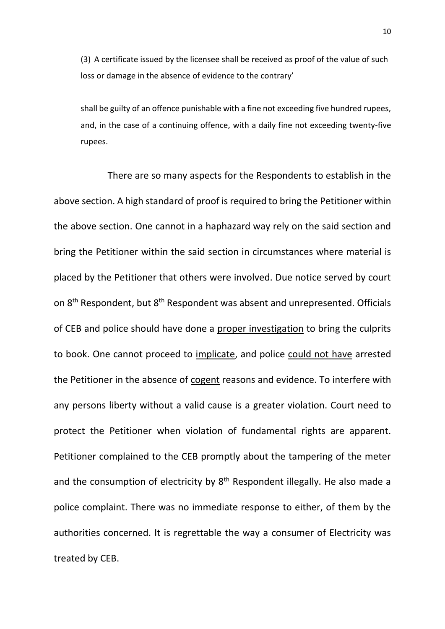(3) A certificate issued by the licensee shall be received as proof of the value of such loss or damage in the absence of evidence to the contrary'

shall be guilty of an offence punishable with a fine not exceeding five hundred rupees, and, in the case of a continuing offence, with a daily fine not exceeding twenty-five rupees.

There are so many aspects for the Respondents to establish in the above section. A high standard of proof is required to bring the Petitioner within the above section. One cannot in a haphazard way rely on the said section and bring the Petitioner within the said section in circumstances where material is placed by the Petitioner that others were involved. Due notice served by court on 8<sup>th</sup> Respondent, but 8<sup>th</sup> Respondent was absent and unrepresented. Officials of CEB and police should have done a proper investigation to bring the culprits to book. One cannot proceed to implicate, and police could not have arrested the Petitioner in the absence of cogent reasons and evidence. To interfere with any persons liberty without a valid cause is a greater violation. Court need to protect the Petitioner when violation of fundamental rights are apparent. Petitioner complained to the CEB promptly about the tampering of the meter and the consumption of electricity by 8<sup>th</sup> Respondent illegally. He also made a police complaint. There was no immediate response to either, of them by the authorities concerned. It is regrettable the way a consumer of Electricity was treated by CEB.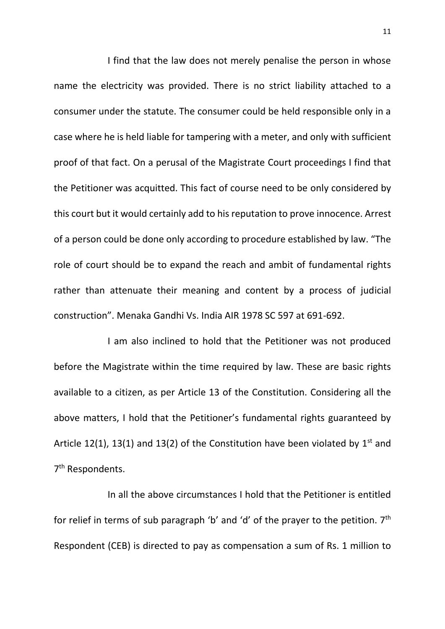I find that the law does not merely penalise the person in whose name the electricity was provided. There is no strict liability attached to a consumer under the statute. The consumer could be held responsible only in a case where he is held liable for tampering with a meter, and only with sufficient proof of that fact. On a perusal of the Magistrate Court proceedings I find that the Petitioner was acquitted. This fact of course need to be only considered by this court but it would certainly add to his reputation to prove innocence. Arrest of a person could be done only according to procedure established by law. "The role of court should be to expand the reach and ambit of fundamental rights rather than attenuate their meaning and content by a process of judicial construction". Menaka Gandhi Vs. India AIR 1978 SC 597 at 691-692.

I am also inclined to hold that the Petitioner was not produced before the Magistrate within the time required by law. These are basic rights available to a citizen, as per Article 13 of the Constitution. Considering all the above matters, I hold that the Petitioner's fundamental rights guaranteed by Article 12(1), 13(1) and 13(2) of the Constitution have been violated by  $1^{st}$  and 7<sup>th</sup> Respondents.

In all the above circumstances I hold that the Petitioner is entitled for relief in terms of sub paragraph 'b' and 'd' of the prayer to the petition. 7<sup>th</sup> Respondent (CEB) is directed to pay as compensation a sum of Rs. 1 million to